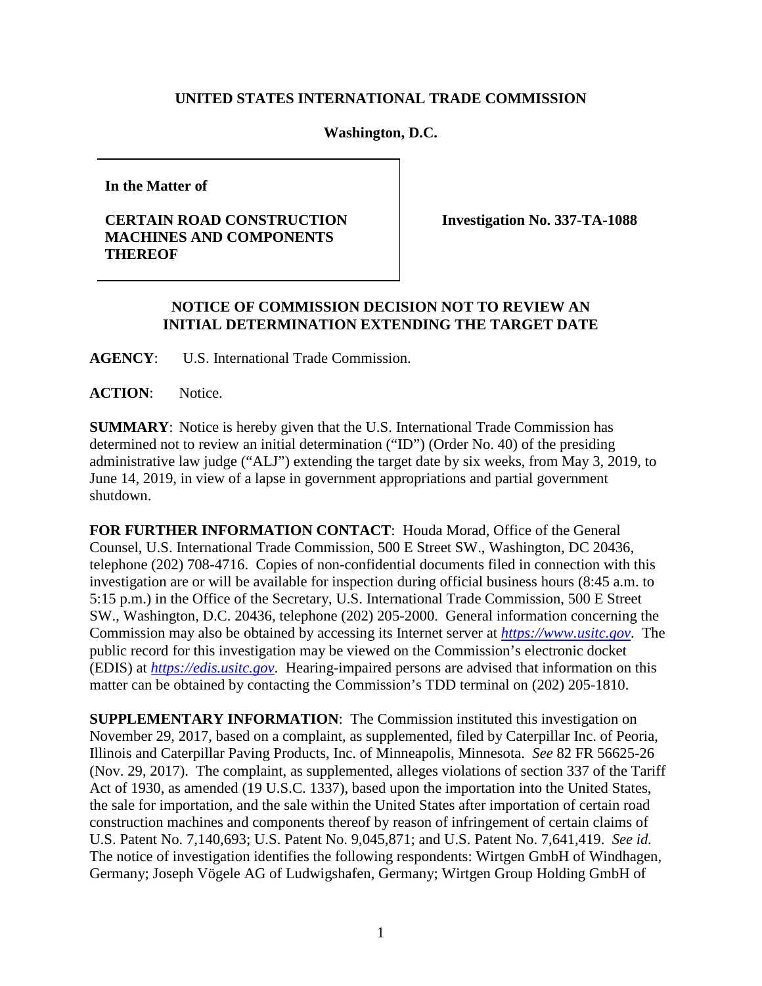## **UNITED STATES INTERNATIONAL TRADE COMMISSION**

## **Washington, D.C.**

**In the Matter of**

## **CERTAIN ROAD CONSTRUCTION MACHINES AND COMPONENTS THEREOF**

**Investigation No. 337-TA-1088**

## **NOTICE OF COMMISSION DECISION NOT TO REVIEW AN INITIAL DETERMINATION EXTENDING THE TARGET DATE**

**AGENCY**: U.S. International Trade Commission.

**ACTION**: Notice.

**SUMMARY**: Notice is hereby given that the U.S. International Trade Commission has determined not to review an initial determination ("ID") (Order No. 40) of the presiding administrative law judge ("ALJ") extending the target date by six weeks, from May 3, 2019, to June 14, 2019, in view of a lapse in government appropriations and partial government shutdown.

**FOR FURTHER INFORMATION CONTACT**: Houda Morad, Office of the General Counsel, U.S. International Trade Commission, 500 E Street SW., Washington, DC 20436, telephone (202) 708-4716. Copies of non-confidential documents filed in connection with this investigation are or will be available for inspection during official business hours (8:45 a.m. to 5:15 p.m.) in the Office of the Secretary, U.S. International Trade Commission, 500 E Street SW., Washington, D.C. 20436, telephone (202) 205-2000. General information concerning the Commission may also be obtained by accessing its Internet server at *[https://www.usitc.gov](https://www.usitc.gov/)*. The public record for this investigation may be viewed on the Commission's electronic docket (EDIS) at *[https://edis.usitc.gov](http://edis.usitc.gov/)*. Hearing-impaired persons are advised that information on this matter can be obtained by contacting the Commission's TDD terminal on (202) 205-1810.

**SUPPLEMENTARY INFORMATION**: The Commission instituted this investigation on November 29, 2017, based on a complaint, as supplemented, filed by Caterpillar Inc. of Peoria, Illinois and Caterpillar Paving Products, Inc. of Minneapolis, Minnesota. *See* 82 FR 56625-26 (Nov. 29, 2017). The complaint, as supplemented, alleges violations of section 337 of the Tariff Act of 1930, as amended (19 U.S.C. 1337), based upon the importation into the United States, the sale for importation, and the sale within the United States after importation of certain road construction machines and components thereof by reason of infringement of certain claims of U.S. Patent No. 7,140,693; U.S. Patent No. 9,045,871; and U.S. Patent No. 7,641,419. *See id.* The notice of investigation identifies the following respondents: Wirtgen GmbH of Windhagen, Germany; Joseph Vögele AG of Ludwigshafen, Germany; Wirtgen Group Holding GmbH of